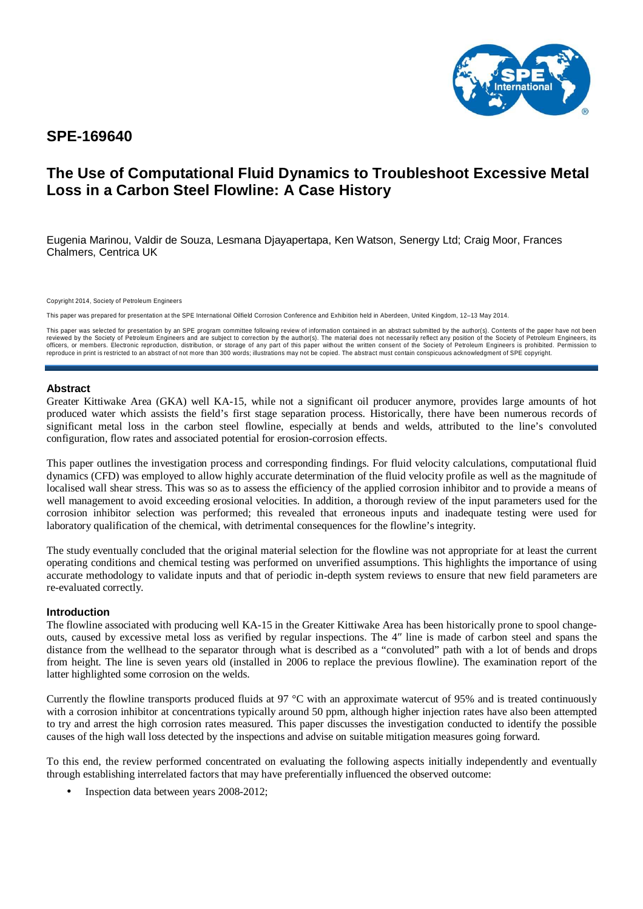

## **SPE-169640**

# **The Use of Computational Fluid Dynamics to Troubleshoot Excessive Metal Loss in a Carbon Steel Flowline: A Case History**

Eugenia Marinou, Valdir de Souza, Lesmana Djayapertapa, Ken Watson, Senergy Ltd; Craig Moor, Frances Chalmers, Centrica UK

Copyright 2014, Society of Petroleum Engineers

This paper was prepared for presentation at the SPE International Oilfield Corrosion Conference and Exhibition held in Aberdeen, United Kingdom, 12–13 May 2014.

This paper was selected for presentation by an SPE program committee following review of information contained in an abstract submitted by the author(s). Contents of the paper have not been reviewed by the Society of Petroleum Engineers and are subject to correction by the author(s). The material does not necessarily reflect any position of the Society of Petroleum Engineers, its<br>officers, or members. Electro reproduce in print is restricted to an abstract of not more than 300 words; illustrations may not be copied. The abstract must contain conspicuous acknowledgment of SPE copyright.

## **Abstract**

Greater Kittiwake Area (GKA) well KA-15, while not a significant oil producer anymore, provides large amounts of hot produced water which assists the field's first stage separation process. Historically, there have been numerous records of significant metal loss in the carbon steel flowline, especially at bends and welds, attributed to the line's convoluted configuration, flow rates and associated potential for erosion-corrosion effects.

This paper outlines the investigation process and corresponding findings. For fluid velocity calculations, computational fluid dynamics (CFD) was employed to allow highly accurate determination of the fluid velocity profile as well as the magnitude of localised wall shear stress. This was so as to assess the efficiency of the applied corrosion inhibitor and to provide a means of well management to avoid exceeding erosional velocities. In addition, a thorough review of the input parameters used for the corrosion inhibitor selection was performed; this revealed that erroneous inputs and inadequate testing were used for laboratory qualification of the chemical, with detrimental consequences for the flowline's integrity.

The study eventually concluded that the original material selection for the flowline was not appropriate for at least the current operating conditions and chemical testing was performed on unverified assumptions. This highlights the importance of using accurate methodology to validate inputs and that of periodic in-depth system reviews to ensure that new field parameters are re-evaluated correctly.

#### **Introduction**

The flowline associated with producing well KA-15 in the Greater Kittiwake Area has been historically prone to spool changeouts, caused by excessive metal loss as verified by regular inspections. The 4″ line is made of carbon steel and spans the distance from the wellhead to the separator through what is described as a "convoluted" path with a lot of bends and drops from height. The line is seven years old (installed in 2006 to replace the previous flowline). The examination report of the latter highlighted some corrosion on the welds.

Currently the flowline transports produced fluids at 97 °C with an approximate watercut of 95% and is treated continuously with a corrosion inhibitor at concentrations typically around 50 ppm, although higher injection rates have also been attempted to try and arrest the high corrosion rates measured. This paper discusses the investigation conducted to identify the possible causes of the high wall loss detected by the inspections and advise on suitable mitigation measures going forward.

To this end, the review performed concentrated on evaluating the following aspects initially independently and eventually through establishing interrelated factors that may have preferentially influenced the observed outcome:

• Inspection data between years 2008-2012;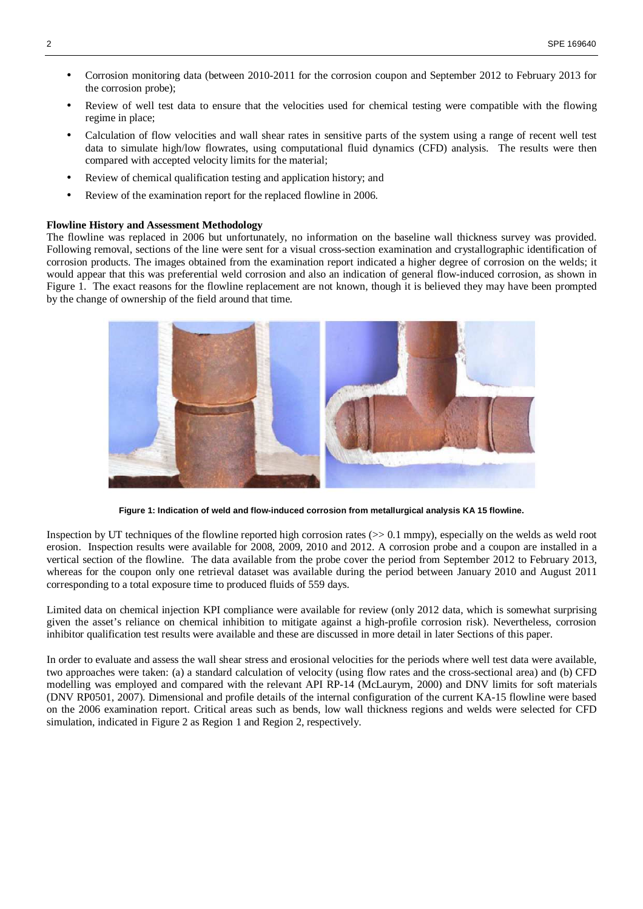- Corrosion monitoring data (between 2010-2011 for the corrosion coupon and September 2012 to February 2013 for the corrosion probe);
- Review of well test data to ensure that the velocities used for chemical testing were compatible with the flowing regime in place;
- Calculation of flow velocities and wall shear rates in sensitive parts of the system using a range of recent well test data to simulate high/low flowrates, using computational fluid dynamics (CFD) analysis. The results were then compared with accepted velocity limits for the material;
- Review of chemical qualification testing and application history; and
- Review of the examination report for the replaced flowline in 2006.

#### **Flowline History and Assessment Methodology**

The flowline was replaced in 2006 but unfortunately, no information on the baseline wall thickness survey was provided. Following removal, sections of the line were sent for a visual cross-section examination and crystallographic identification of corrosion products. The images obtained from the examination report indicated a higher degree of corrosion on the welds; it would appear that this was preferential weld corrosion and also an indication of general flow-induced corrosion, as shown in Figure 1. The exact reasons for the flowline replacement are not known, though it is believed they may have been prompted by the change of ownership of the field around that time.



**Figure 1: Indication of weld and flow-induced corrosion from metallurgical analysis KA 15 flowline.** 

Inspection by UT techniques of the flowline reported high corrosion rates (>> 0.1 mmpy), especially on the welds as weld root erosion. Inspection results were available for 2008, 2009, 2010 and 2012. A corrosion probe and a coupon are installed in a vertical section of the flowline. The data available from the probe cover the period from September 2012 to February 2013, whereas for the coupon only one retrieval dataset was available during the period between January 2010 and August 2011 corresponding to a total exposure time to produced fluids of 559 days.

Limited data on chemical injection KPI compliance were available for review (only 2012 data, which is somewhat surprising given the asset's reliance on chemical inhibition to mitigate against a high-profile corrosion risk). Nevertheless, corrosion inhibitor qualification test results were available and these are discussed in more detail in later Sections of this paper.

In order to evaluate and assess the wall shear stress and erosional velocities for the periods where well test data were available, two approaches were taken: (a) a standard calculation of velocity (using flow rates and the cross-sectional area) and (b) CFD modelling was employed and compared with the relevant API RP-14 (McLaurym, 2000) and DNV limits for soft materials (DNV RP0501, 2007). Dimensional and profile details of the internal configuration of the current KA-15 flowline were based on the 2006 examination report. Critical areas such as bends, low wall thickness regions and welds were selected for CFD simulation, indicated in Figure 2 as Region 1 and Region 2, respectively.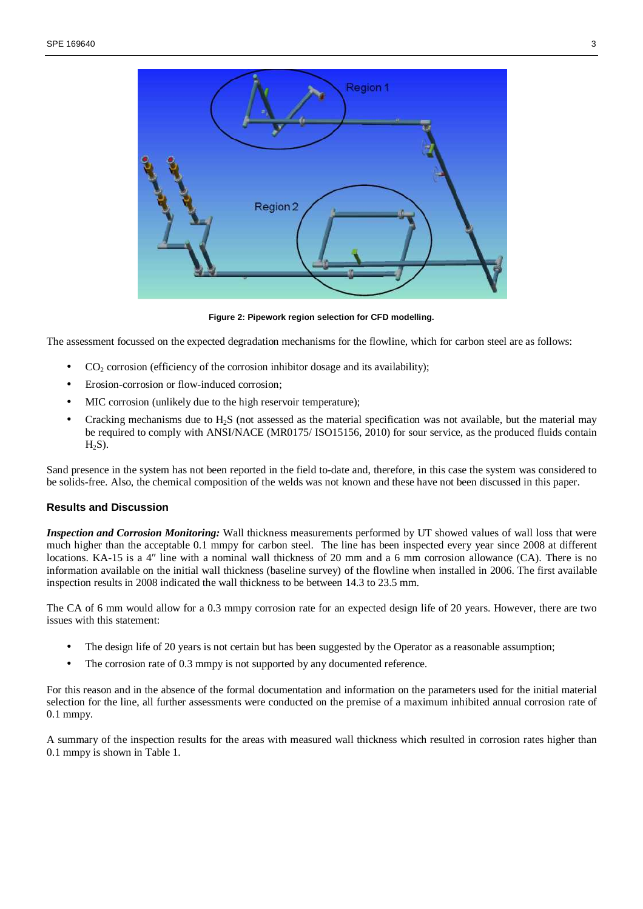

**Figure 2: Pipework region selection for CFD modelling.** 

The assessment focussed on the expected degradation mechanisms for the flowline, which for carbon steel are as follows:

- $CO<sub>2</sub>$  corrosion (efficiency of the corrosion inhibitor dosage and its availability);
- Erosion-corrosion or flow-induced corrosion;
- MIC corrosion (unlikely due to the high reservoir temperature);
- Cracking mechanisms due to  $H_2S$  (not assessed as the material specification was not available, but the material may be required to comply with ANSI/NACE (MR0175/ ISO15156, 2010) for sour service, as the produced fluids contain  $H<sub>2</sub>S$ ).

Sand presence in the system has not been reported in the field to-date and, therefore, in this case the system was considered to be solids-free. Also, the chemical composition of the welds was not known and these have not been discussed in this paper.

#### **Results and Discussion**

*Inspection and Corrosion Monitoring:* Wall thickness measurements performed by UT showed values of wall loss that were much higher than the acceptable 0.1 mmpy for carbon steel. The line has been inspected every year since 2008 at different locations. KA-15 is a 4" line with a nominal wall thickness of 20 mm and a 6 mm corrosion allowance (CA). There is no information available on the initial wall thickness (baseline survey) of the flowline when installed in 2006. The first available inspection results in 2008 indicated the wall thickness to be between 14.3 to 23.5 mm.

The CA of 6 mm would allow for a 0.3 mmpy corrosion rate for an expected design life of 20 years. However, there are two issues with this statement:

- The design life of 20 years is not certain but has been suggested by the Operator as a reasonable assumption;
- The corrosion rate of 0.3 mmpy is not supported by any documented reference.

For this reason and in the absence of the formal documentation and information on the parameters used for the initial material selection for the line, all further assessments were conducted on the premise of a maximum inhibited annual corrosion rate of 0.1 mmpy.

A summary of the inspection results for the areas with measured wall thickness which resulted in corrosion rates higher than 0.1 mmpy is shown in Table 1.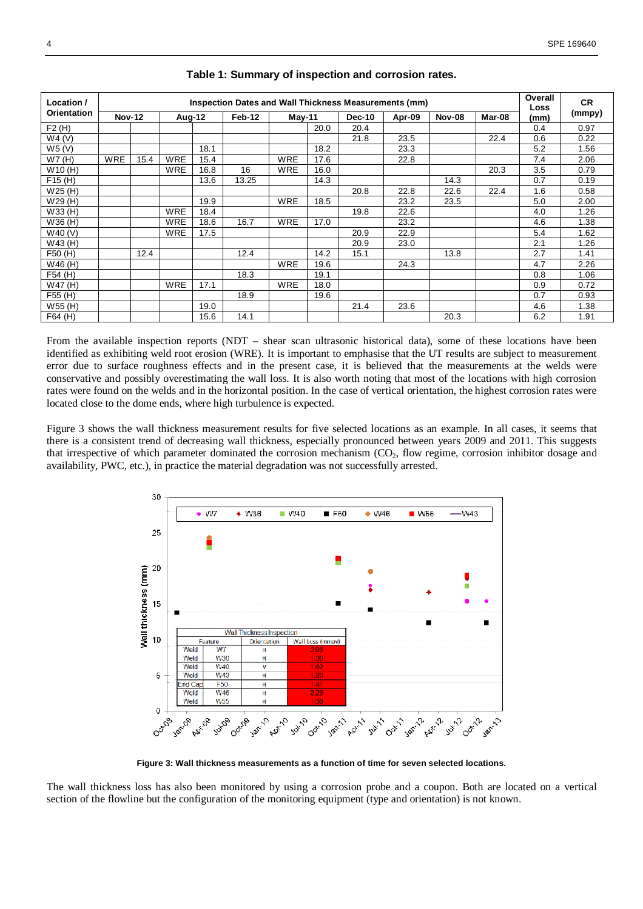| Location /  | Inspection Dates and Wall Thickness Measurements (mm) |      |            |      |        |            |      |               | Overall<br>Loss | <b>CR</b>     |        |      |        |
|-------------|-------------------------------------------------------|------|------------|------|--------|------------|------|---------------|-----------------|---------------|--------|------|--------|
| Orientation | <b>Nov-12</b>                                         |      | Aug-12     |      | Feb-12 | May-11     |      | <b>Dec-10</b> | Apr-09          | <b>Nov-08</b> | Mar-08 | (mm) | (mmpy) |
| F2(H)       |                                                       |      |            |      |        |            | 20.0 | 20.4          |                 |               |        | 0.4  | 0.97   |
| W4(V)       |                                                       |      |            |      |        |            |      | 21.8          | 23.5            |               | 22.4   | 0.6  | 0.22   |
| W5(V)       |                                                       |      |            | 18.1 |        |            | 18.2 |               | 23.3            |               |        | 5.2  | 1.56   |
| W7(H)       | <b>WRE</b>                                            | 15.4 | <b>WRE</b> | 15.4 |        | <b>WRE</b> | 17.6 |               | 22.8            |               |        | 7.4  | 2.06   |
| W10(H)      |                                                       |      | <b>WRE</b> | 16.8 | 16     | <b>WRE</b> | 16.0 |               |                 |               | 20.3   | 3.5  | 0.79   |
| F15(H)      |                                                       |      |            | 13.6 | 13.25  |            | 14.3 |               |                 | 14.3          |        | 0.7  | 0.19   |
| W25(H)      |                                                       |      |            |      |        |            |      | 20.8          | 22.8            | 22.6          | 22.4   | 1.6  | 0.58   |
| W29(H)      |                                                       |      |            | 19.9 |        | <b>WRE</b> | 18.5 |               | 23.2            | 23.5          |        | 5.0  | 2.00   |
| W33 (H)     |                                                       |      | <b>WRE</b> | 18.4 |        |            |      | 19.8          | 22.6            |               |        | 4.0  | 1.26   |
| W36 (H)     |                                                       |      | <b>WRE</b> | 18.6 | 16.7   | <b>WRE</b> | 17.0 |               | 23.2            |               |        | 4.6  | 1.38   |
| W40 (V)     |                                                       |      | <b>WRE</b> | 17.5 |        |            |      | 20.9          | 22.9            |               |        | 5.4  | 1.62   |
| W43 (H)     |                                                       |      |            |      |        |            |      | 20.9          | 23.0            |               |        | 2.1  | 1.26   |
| F50 (H)     |                                                       | 12.4 |            |      | 12.4   |            | 14.2 | 15.1          |                 | 13.8          |        | 2.7  | 1.41   |
| W46 (H)     |                                                       |      |            |      |        | <b>WRE</b> | 19.6 |               | 24.3            |               |        | 4.7  | 2.26   |
| F54 (H)     |                                                       |      |            |      | 18.3   |            | 19.1 |               |                 |               |        | 0.8  | 1.06   |
| W47 (H)     |                                                       |      | <b>WRE</b> | 17.1 |        | WRE        | 18.0 |               |                 |               |        | 0.9  | 0.72   |
| F55 (H)     |                                                       |      |            |      | 18.9   |            | 19.6 |               |                 |               |        | 0.7  | 0.93   |
| W55 (H)     |                                                       |      |            | 19.0 |        |            |      | 21.4          | 23.6            |               |        | 4.6  | 1.38   |
| F64 (H)     |                                                       |      |            | 15.6 | 14.1   |            |      |               |                 | 20.3          |        | 6.2  | 1.91   |

### **Table 1: Summary of inspection and corrosion rates.**

From the available inspection reports (NDT – shear scan ultrasonic historical data), some of these locations have been identified as exhibiting weld root erosion (WRE). It is important to emphasise that the UT results are subject to measurement error due to surface roughness effects and in the present case, it is believed that the measurements at the welds were conservative and possibly overestimating the wall loss. It is also worth noting that most of the locations with high corrosion rates were found on the welds and in the horizontal position. In the case of vertical orientation, the highest corrosion rates were located close to the dome ends, where high turbulence is expected.

Figure 3 shows the wall thickness measurement results for five selected locations as an example. In all cases, it seems that there is a consistent trend of decreasing wall thickness, especially pronounced between years 2009 and 2011. This suggests that irrespective of which parameter dominated the corrosion mechanism (CO2, flow regime, corrosion inhibitor dosage and availability, PWC, etc.), in practice the material degradation was not successfully arrested.



**Figure 3: Wall thickness measurements as a function of time for seven selected locations.** 

The wall thickness loss has also been monitored by using a corrosion probe and a coupon. Both are located on a vertical section of the flowline but the configuration of the monitoring equipment (type and orientation) is not known.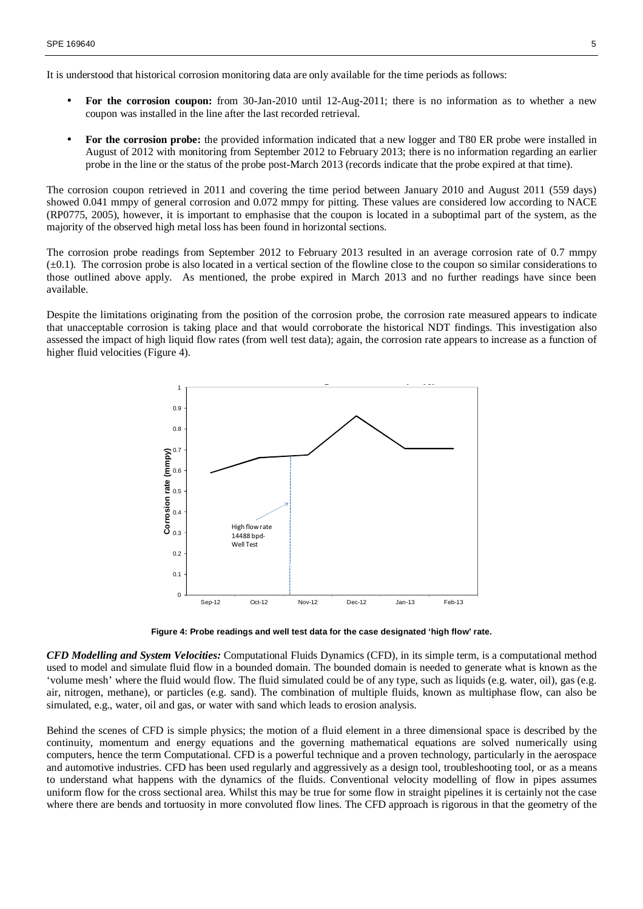It is understood that historical corrosion monitoring data are only available for the time periods as follows:

- **For the corrosion coupon:** from 30-Jan-2010 until 12-Aug-2011; there is no information as to whether a new coupon was installed in the line after the last recorded retrieval.
- **For the corrosion probe:** the provided information indicated that a new logger and T80 ER probe were installed in August of 2012 with monitoring from September 2012 to February 2013; there is no information regarding an earlier probe in the line or the status of the probe post-March 2013 (records indicate that the probe expired at that time).

The corrosion coupon retrieved in 2011 and covering the time period between January 2010 and August 2011 (559 days) showed 0.041 mmpy of general corrosion and 0.072 mmpy for pitting. These values are considered low according to NACE (RP0775, 2005), however, it is important to emphasise that the coupon is located in a suboptimal part of the system, as the majority of the observed high metal loss has been found in horizontal sections.

The corrosion probe readings from September 2012 to February 2013 resulted in an average corrosion rate of 0.7 mmpy  $(\pm 0.1)$ . The corrosion probe is also located in a vertical section of the flowline close to the coupon so similar considerations to those outlined above apply. As mentioned, the probe expired in March 2013 and no further readings have since been available.

Despite the limitations originating from the position of the corrosion probe, the corrosion rate measured appears to indicate that unacceptable corrosion is taking place and that would corroborate the historical NDT findings. This investigation also assessed the impact of high liquid flow rates (from well test data); again, the corrosion rate appears to increase as a function of higher fluid velocities (Figure 4).



**Figure 4: Probe readings and well test data for the case designated 'high flow' rate.** 

*CFD Modelling and System Velocities:* Computational Fluids Dynamics (CFD), in its simple term, is a computational method used to model and simulate fluid flow in a bounded domain. The bounded domain is needed to generate what is known as the 'volume mesh' where the fluid would flow. The fluid simulated could be of any type, such as liquids (e.g. water, oil), gas (e.g. air, nitrogen, methane), or particles (e.g. sand). The combination of multiple fluids, known as multiphase flow, can also be simulated, e.g., water, oil and gas, or water with sand which leads to erosion analysis.

Behind the scenes of CFD is simple physics; the motion of a fluid element in a three dimensional space is described by the continuity, momentum and energy equations and the governing mathematical equations are solved numerically using computers, hence the term Computational. CFD is a powerful technique and a proven technology, particularly in the aerospace and automotive industries. CFD has been used regularly and aggressively as a design tool, troubleshooting tool, or as a means to understand what happens with the dynamics of the fluids. Conventional velocity modelling of flow in pipes assumes uniform flow for the cross sectional area. Whilst this may be true for some flow in straight pipelines it is certainly not the case where there are bends and tortuosity in more convoluted flow lines. The CFD approach is rigorous in that the geometry of the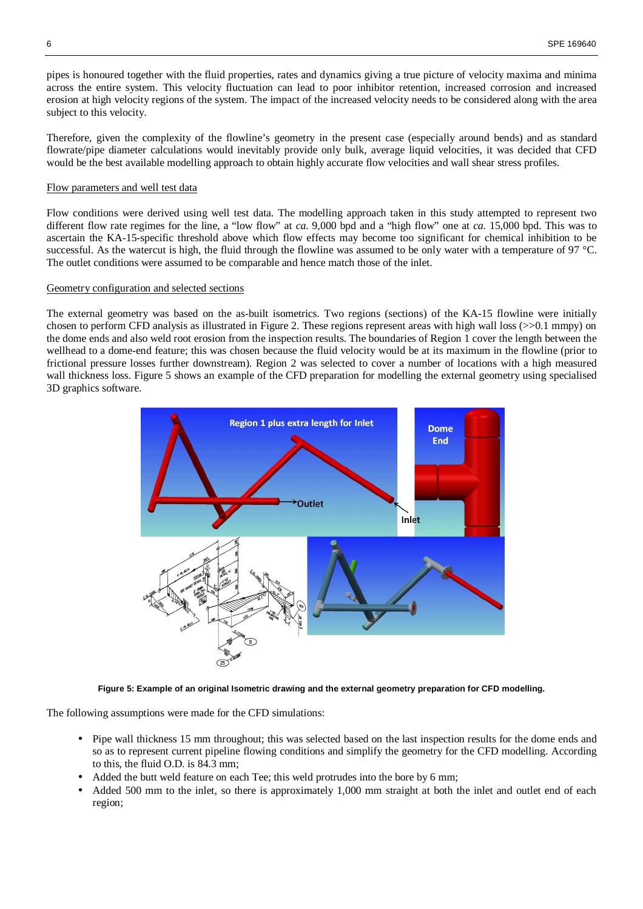pipes is honoured together with the fluid properties, rates and dynamics giving a true picture of velocity maxima and minima across the entire system. This velocity fluctuation can lead to poor inhibitor retention, increased corrosion and increased erosion at high velocity regions of the system. The impact of the increased velocity needs to be considered along with the area subject to this velocity.

Therefore, given the complexity of the flowline's geometry in the present case (especially around bends) and as standard flowrate/pipe diameter calculations would inevitably provide only bulk, average liquid velocities, it was decided that CFD would be the best available modelling approach to obtain highly accurate flow velocities and wall shear stress profiles.

#### Flow parameters and well test data

Flow conditions were derived using well test data. The modelling approach taken in this study attempted to represent two different flow rate regimes for the line, a "low flow" at *ca.* 9,000 bpd and a "high flow" one at *ca.* 15,000 bpd. This was to ascertain the KA-15-specific threshold above which flow effects may become too significant for chemical inhibition to be successful. As the watercut is high, the fluid through the flowline was assumed to be only water with a temperature of 97 °C. The outlet conditions were assumed to be comparable and hence match those of the inlet.

#### Geometry configuration and selected sections

The external geometry was based on the as-built isometrics. Two regions (sections) of the KA-15 flowline were initially chosen to perform CFD analysis as illustrated in Figure 2. These regions represent areas with high wall loss  $(>=0.1 \text{ mm})$  on the dome ends and also weld root erosion from the inspection results. The boundaries of Region 1 cover the length between the wellhead to a dome-end feature; this was chosen because the fluid velocity would be at its maximum in the flowline (prior to frictional pressure losses further downstream). Region 2 was selected to cover a number of locations with a high measured wall thickness loss. Figure 5 shows an example of the CFD preparation for modelling the external geometry using specialised 3D graphics software.



**Figure 5: Example of an original Isometric drawing and the external geometry preparation for CFD modelling.** 

The following assumptions were made for the CFD simulations:

- Pipe wall thickness 15 mm throughout; this was selected based on the last inspection results for the dome ends and so as to represent current pipeline flowing conditions and simplify the geometry for the CFD modelling. According to this, the fluid O.D. is 84.3 mm;
- Added the butt weld feature on each Tee; this weld protrudes into the bore by 6 mm;
- Added 500 mm to the inlet, so there is approximately 1,000 mm straight at both the inlet and outlet end of each region;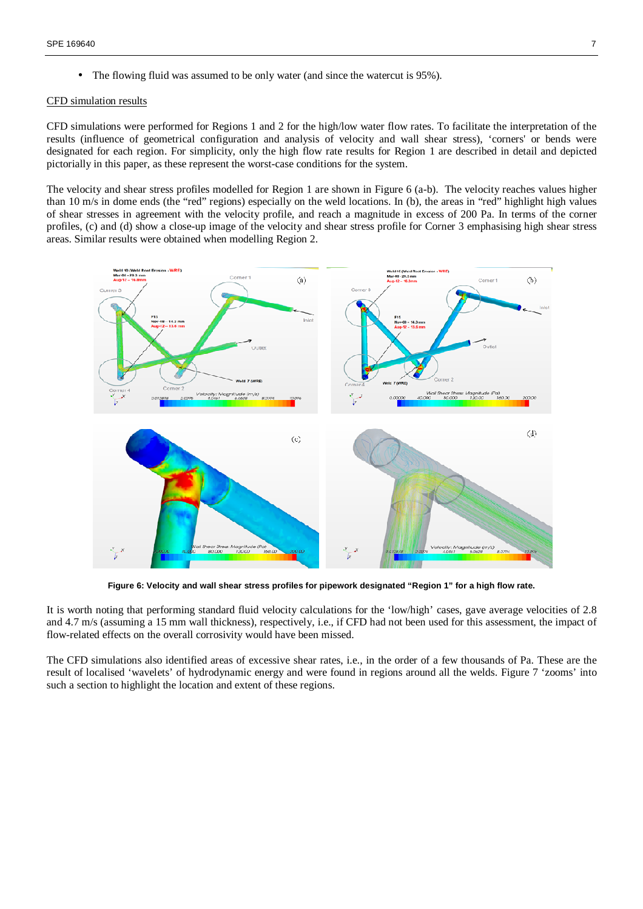• The flowing fluid was assumed to be only water (and since the watercut is 95%).

#### CFD simulation results

CFD simulations were performed for Regions 1 and 2 for the high/low water flow rates. To facilitate the interpretation of the results (influence of geometrical configuration and analysis of velocity and wall shear stress), 'corners' or bends were designated for each region. For simplicity, only the high flow rate results for Region 1 are described in detail and depicted pictorially in this paper, as these represent the worst-case conditions for the system.

The velocity and shear stress profiles modelled for Region 1 are shown in Figure 6 (a-b). The velocity reaches values higher than 10 m/s in dome ends (the "red" regions) especially on the weld locations. In (b), the areas in "red" highlight high values of shear stresses in agreement with the velocity profile, and reach a magnitude in excess of 200 Pa. In terms of the corner profiles, (c) and (d) show a close-up image of the velocity and shear stress profile for Corner 3 emphasising high shear stress areas. Similar results were obtained when modelling Region 2.



**Figure 6: Velocity and wall shear stress profiles for pipework designated "Region 1" for a high flow rate.** 

It is worth noting that performing standard fluid velocity calculations for the 'low/high' cases, gave average velocities of 2.8 and 4.7 m/s (assuming a 15 mm wall thickness), respectively, i.e., if CFD had not been used for this assessment, the impact of flow-related effects on the overall corrosivity would have been missed.

The CFD simulations also identified areas of excessive shear rates, i.e., in the order of a few thousands of Pa. These are the result of localised 'wavelets' of hydrodynamic energy and were found in regions around all the welds. Figure 7 'zooms' into such a section to highlight the location and extent of these regions.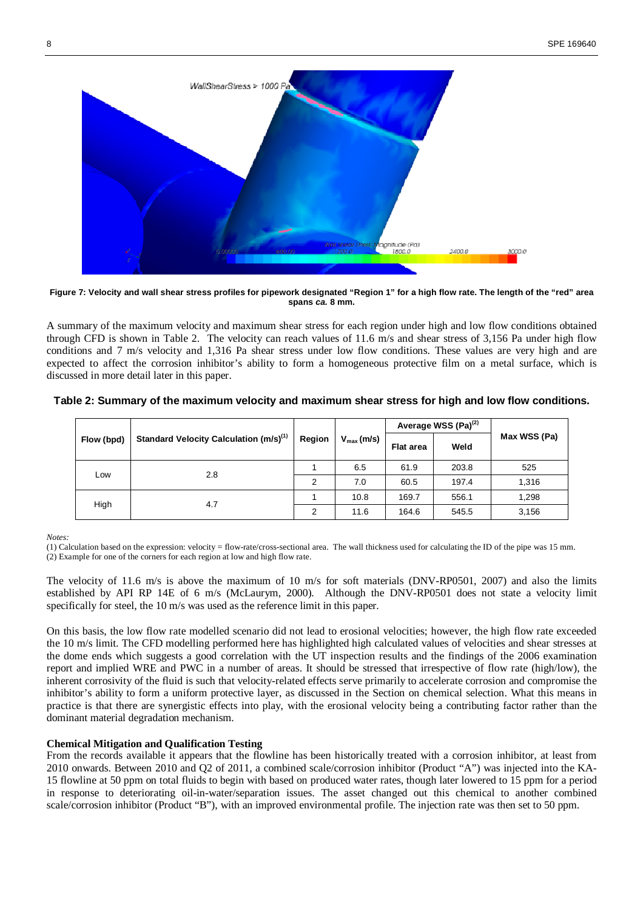

**Figure 7: Velocity and wall shear stress profiles for pipework designated "Region 1" for a high flow rate. The length of the "red" area spans ca. 8 mm.** 

A summary of the maximum velocity and maximum shear stress for each region under high and low flow conditions obtained through CFD is shown in Table 2. The velocity can reach values of 11.6 m/s and shear stress of 3,156 Pa under high flow conditions and 7 m/s velocity and 1,316 Pa shear stress under low flow conditions. These values are very high and are expected to affect the corrosion inhibitor's ability to form a homogeneous protective film on a metal surface, which is discussed in more detail later in this paper.

|  |            |                                                    | Region | $V_{max}(m/s)$ |                  | Average WSS (Pa) <sup>(2)</sup> | Max WSS (Pa) |
|--|------------|----------------------------------------------------|--------|----------------|------------------|---------------------------------|--------------|
|  | Flow (bpd) | Standard Velocity Calculation (m/s) <sup>(1)</sup> |        |                | <b>Flat area</b> | Weld                            |              |
|  | Low        | 2.8                                                |        | 6.5            | 61.9             | 203.8                           | 525          |
|  |            |                                                    | 2      | 7.0            | 60.5             | 197.4                           | 1,316        |
|  | High       | 4.7                                                |        | 10.8           | 169.7            | 556.1                           | 1,298        |
|  |            |                                                    | 2      | 11.6           | 164.6            | 545.5                           | 3,156        |

**Table 2: Summary of the maximum velocity and maximum shear stress for high and low flow conditions.** 

*Notes:* 

(1) Calculation based on the expression: velocity = flow-rate/cross-sectional area. The wall thickness used for calculating the ID of the pipe was 15 mm. (2) Example for one of the corners for each region at low and high flow rate.

The velocity of 11.6 m/s is above the maximum of 10 m/s for soft materials (DNV-RP0501, 2007) and also the limits established by API RP 14E of 6 m/s (McLaurym, 2000). Although the DNV-RP0501 does not state a velocity limit specifically for steel, the 10 m/s was used as the reference limit in this paper.

On this basis, the low flow rate modelled scenario did not lead to erosional velocities; however, the high flow rate exceeded the 10 m/s limit. The CFD modelling performed here has highlighted high calculated values of velocities and shear stresses at the dome ends which suggests a good correlation with the UT inspection results and the findings of the 2006 examination report and implied WRE and PWC in a number of areas. It should be stressed that irrespective of flow rate (high/low), the inherent corrosivity of the fluid is such that velocity-related effects serve primarily to accelerate corrosion and compromise the inhibitor's ability to form a uniform protective layer, as discussed in the Section on chemical selection. What this means in practice is that there are synergistic effects into play, with the erosional velocity being a contributing factor rather than the dominant material degradation mechanism.

## **Chemical Mitigation and Qualification Testing**

From the records available it appears that the flowline has been historically treated with a corrosion inhibitor, at least from 2010 onwards. Between 2010 and Q2 of 2011, a combined scale/corrosion inhibitor (Product "A") was injected into the KA-15 flowline at 50 ppm on total fluids to begin with based on produced water rates, though later lowered to 15 ppm for a period in response to deteriorating oil-in-water/separation issues. The asset changed out this chemical to another combined scale/corrosion inhibitor (Product "B"), with an improved environmental profile. The injection rate was then set to 50 ppm.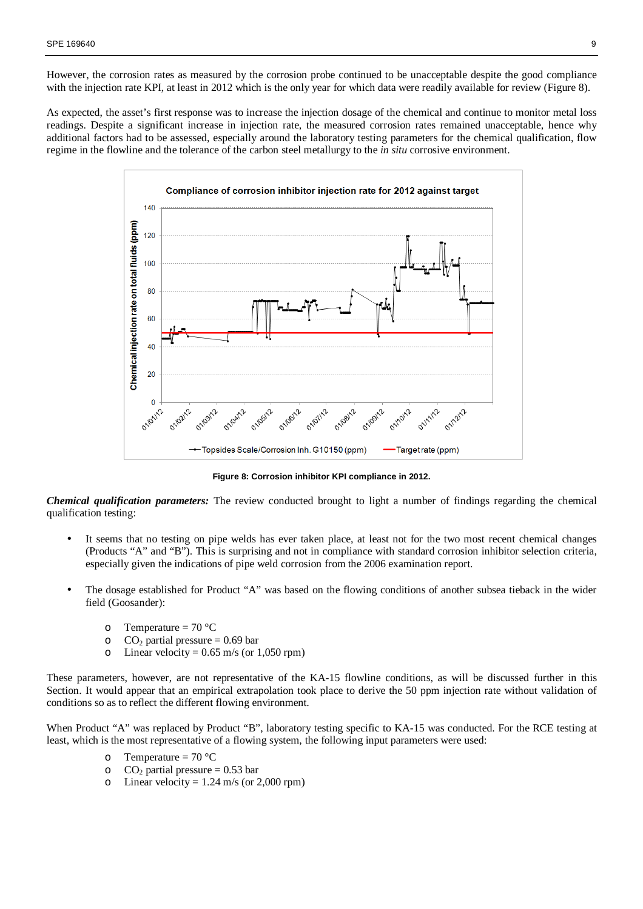However, the corrosion rates as measured by the corrosion probe continued to be unacceptable despite the good compliance with the injection rate KPI, at least in 2012 which is the only year for which data were readily available for review (Figure 8).

As expected, the asset's first response was to increase the injection dosage of the chemical and continue to monitor metal loss readings. Despite a significant increase in injection rate, the measured corrosion rates remained unacceptable, hence why additional factors had to be assessed, especially around the laboratory testing parameters for the chemical qualification, flow regime in the flowline and the tolerance of the carbon steel metallurgy to the *in situ* corrosive environment.



**Figure 8: Corrosion inhibitor KPI compliance in 2012.** 

*Chemical qualification parameters:* The review conducted brought to light a number of findings regarding the chemical qualification testing:

- It seems that no testing on pipe welds has ever taken place, at least not for the two most recent chemical changes (Products "A" and "B"). This is surprising and not in compliance with standard corrosion inhibitor selection criteria, especially given the indications of pipe weld corrosion from the 2006 examination report.
- The dosage established for Product "A" was based on the flowing conditions of another subsea tieback in the wider field (Goosander):
	- o Temperature =  $70^{\circ}$ C
	- o  $CO_2$  partial pressure = 0.69 bar
	- o Linear velocity =  $0.65$  m/s (or 1,050 rpm)

These parameters, however, are not representative of the KA-15 flowline conditions, as will be discussed further in this Section. It would appear that an empirical extrapolation took place to derive the 50 ppm injection rate without validation of conditions so as to reflect the different flowing environment.

When Product "A" was replaced by Product "B", laboratory testing specific to KA-15 was conducted. For the RCE testing at least, which is the most representative of a flowing system, the following input parameters were used:

- o Temperature =  $70^{\circ}$ C
- o CO<sub>2</sub> partial pressure =  $0.53$  bar
- o Linear velocity =  $1.24$  m/s (or 2,000 rpm)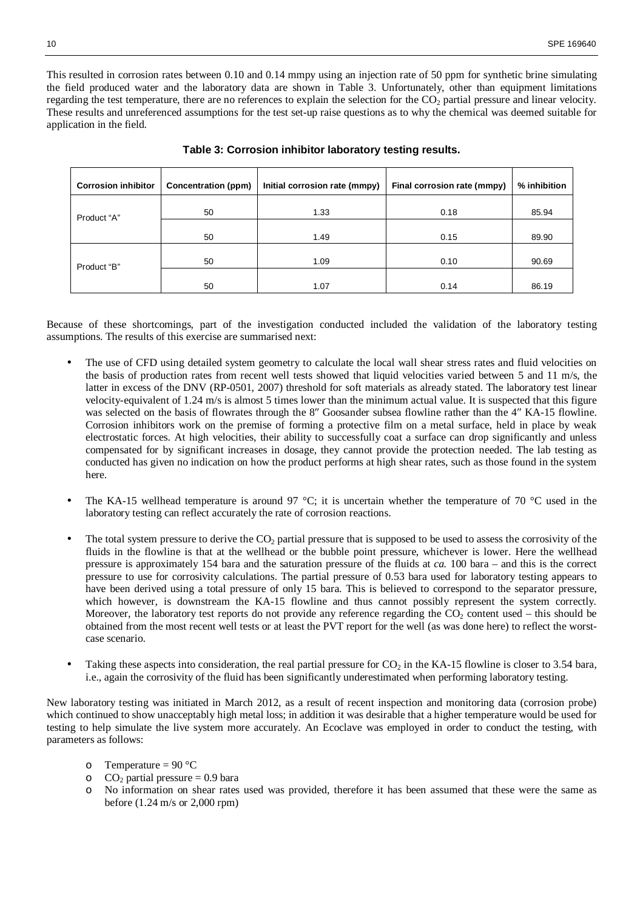This resulted in corrosion rates between 0.10 and 0.14 mmpy using an injection rate of 50 ppm for synthetic brine simulating the field produced water and the laboratory data are shown in Table 3. Unfortunately, other than equipment limitations regarding the test temperature, there are no references to explain the selection for the CO<sub>2</sub> partial pressure and linear velocity. These results and unreferenced assumptions for the test set-up raise questions as to why the chemical was deemed suitable for application in the field.

| <b>Corrosion inhibitor</b> | Concentration (ppm) | Initial corrosion rate (mmpy) | Final corrosion rate (mmpy) | % inhibition |
|----------------------------|---------------------|-------------------------------|-----------------------------|--------------|
| Product "A"                | 50                  | 1.33                          | 0.18                        | 85.94        |
|                            | 50                  | 1.49                          | 0.15                        | 89.90        |
| Product "B"                | 50                  | 1.09                          | 0.10                        | 90.69        |
|                            | 50                  | 1.07                          | 0.14                        | 86.19        |

## **Table 3: Corrosion inhibitor laboratory testing results.**

Because of these shortcomings, part of the investigation conducted included the validation of the laboratory testing assumptions. The results of this exercise are summarised next:

- The use of CFD using detailed system geometry to calculate the local wall shear stress rates and fluid velocities on the basis of production rates from recent well tests showed that liquid velocities varied between 5 and 11 m/s, the latter in excess of the DNV (RP-0501, 2007) threshold for soft materials as already stated. The laboratory test linear velocity-equivalent of 1.24 m/s is almost 5 times lower than the minimum actual value. It is suspected that this figure was selected on the basis of flowrates through the 8″ Goosander subsea flowline rather than the 4″ KA-15 flowline. Corrosion inhibitors work on the premise of forming a protective film on a metal surface, held in place by weak electrostatic forces. At high velocities, their ability to successfully coat a surface can drop significantly and unless compensated for by significant increases in dosage, they cannot provide the protection needed. The lab testing as conducted has given no indication on how the product performs at high shear rates, such as those found in the system here.
- The KA-15 wellhead temperature is around 97 °C; it is uncertain whether the temperature of 70 °C used in the laboratory testing can reflect accurately the rate of corrosion reactions.
- The total system pressure to derive the  $CO<sub>2</sub>$  partial pressure that is supposed to be used to assess the corrosivity of the fluids in the flowline is that at the wellhead or the bubble point pressure, whichever is lower. Here the wellhead pressure is approximately 154 bara and the saturation pressure of the fluids at *ca.* 100 bara – and this is the correct pressure to use for corrosivity calculations. The partial pressure of 0.53 bara used for laboratory testing appears to have been derived using a total pressure of only 15 bara. This is believed to correspond to the separator pressure, which however, is downstream the KA-15 flowline and thus cannot possibly represent the system correctly. Moreover, the laboratory test reports do not provide any reference regarding the  $CO<sub>2</sub>$  content used – this should be obtained from the most recent well tests or at least the PVT report for the well (as was done here) to reflect the worstcase scenario.
- Taking these aspects into consideration, the real partial pressure for  $CO<sub>2</sub>$  in the KA-15 flowline is closer to 3.54 bara, i.e., again the corrosivity of the fluid has been significantly underestimated when performing laboratory testing.

New laboratory testing was initiated in March 2012, as a result of recent inspection and monitoring data (corrosion probe) which continued to show unacceptably high metal loss; in addition it was desirable that a higher temperature would be used for testing to help simulate the live system more accurately. An Ecoclave was employed in order to conduct the testing, with parameters as follows:

- o Temperature =  $90 °C$
- $\degree$  CO<sub>2</sub> partial pressure = 0.9 bara
- No information on shear rates used was provided, therefore it has been assumed that these were the same as before (1.24 m/s or 2,000 rpm)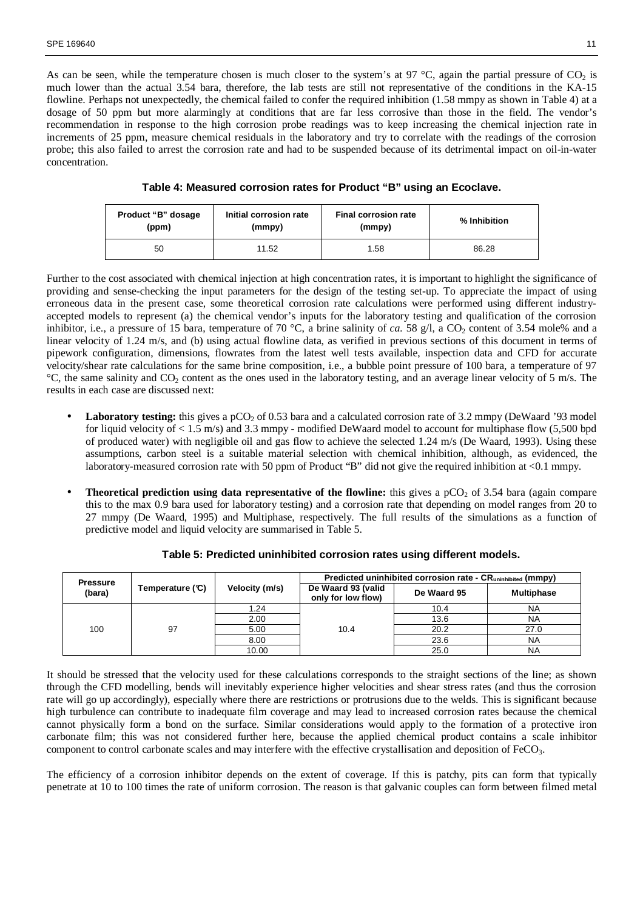As can be seen, while the temperature chosen is much closer to the system's at 97 °C, again the partial pressure of  $CO_2$  is much lower than the actual 3.54 bara, therefore, the lab tests are still not representative of the conditions in the KA-15 flowline. Perhaps not unexpectedly, the chemical failed to confer the required inhibition (1.58 mmpy as shown in Table 4) at a dosage of 50 ppm but more alarmingly at conditions that are far less corrosive than those in the field. The vendor's recommendation in response to the high corrosion probe readings was to keep increasing the chemical injection rate in increments of 25 ppm, measure chemical residuals in the laboratory and try to correlate with the readings of the corrosion probe; this also failed to arrest the corrosion rate and had to be suspended because of its detrimental impact on oil-in-water concentration.

**Table 4: Measured corrosion rates for Product "B" using an Ecoclave.** 

| Product "B" dosage<br>Initial corrosion rate<br>(ppm)<br>(mmpy) |       | <b>Final corrosion rate</b><br>(mmpy) | % Inhibition |  |
|-----------------------------------------------------------------|-------|---------------------------------------|--------------|--|
| 50                                                              | 11.52 | 1.58                                  | 86.28        |  |

Further to the cost associated with chemical injection at high concentration rates, it is important to highlight the significance of providing and sense-checking the input parameters for the design of the testing set-up. To appreciate the impact of using erroneous data in the present case, some theoretical corrosion rate calculations were performed using different industryaccepted models to represent (a) the chemical vendor's inputs for the laboratory testing and qualification of the corrosion inhibitor, i.e., a pressure of 15 bara, temperature of 70 °C, a brine salinity of *ca*. 58 g/l, a  $CO_2$  content of 3.54 mole% and a linear velocity of 1.24 m/s, and (b) using actual flowline data, as verified in previous sections of this document in terms of pipework configuration, dimensions, flowrates from the latest well tests available, inspection data and CFD for accurate velocity/shear rate calculations for the same brine composition, i.e., a bubble point pressure of 100 bara, a temperature of 97 <sup>o</sup>C, the same salinity and CO<sub>2</sub> content as the ones used in the laboratory testing, and an average linear velocity of 5 m/s. The results in each case are discussed next:

- **Laboratory testing:** this gives a pCO<sub>2</sub> of 0.53 bara and a calculated corrosion rate of 3.2 mmpy (DeWaard '93 model for liquid velocity of < 1.5 m/s) and 3.3 mmpy - modified DeWaard model to account for multiphase flow (5,500 bpd of produced water) with negligible oil and gas flow to achieve the selected 1.24 m/s (De Waard, 1993). Using these assumptions, carbon steel is a suitable material selection with chemical inhibition, although, as evidenced, the laboratory-measured corrosion rate with 50 ppm of Product "B" did not give the required inhibition at <0.1 mmpy.
- **Theoretical prediction using data representative of the flowline:** this gives a  $pCO<sub>2</sub>$  of 3.54 bara (again compare this to the max 0.9 bara used for laboratory testing) and a corrosion rate that depending on model ranges from 20 to 27 mmpy (De Waard, 1995) and Multiphase, respectively. The full results of the simulations as a function of predictive model and liquid velocity are summarised in Table 5.

| <b>Pressure</b> |                   |                | Predicted uninhibited corrosion rate - CR <sub>uninhibited</sub> (mmpy) |             |                   |  |  |
|-----------------|-------------------|----------------|-------------------------------------------------------------------------|-------------|-------------------|--|--|
| (bara)          | Temperature $(C)$ | Velocity (m/s) | De Waard 93 (valid<br>only for low flow)                                | De Waard 95 | <b>Multiphase</b> |  |  |
| 100             |                   | 1.24           |                                                                         | 10.4        | <b>NA</b>         |  |  |
|                 |                   | 2.00           | 10.4                                                                    | 13.6        | <b>NA</b>         |  |  |
|                 | 97                | 5.00           |                                                                         | 20.2        | 27.0              |  |  |
|                 |                   | 8.00           |                                                                         | 23.6        | <b>NA</b>         |  |  |
|                 |                   | 10.00          |                                                                         | 25.0        | <b>NA</b>         |  |  |

**Table 5: Predicted uninhibited corrosion rates using different models.** 

It should be stressed that the velocity used for these calculations corresponds to the straight sections of the line; as shown through the CFD modelling, bends will inevitably experience higher velocities and shear stress rates (and thus the corrosion rate will go up accordingly), especially where there are restrictions or protrusions due to the welds. This is significant because high turbulence can contribute to inadequate film coverage and may lead to increased corrosion rates because the chemical cannot physically form a bond on the surface. Similar considerations would apply to the formation of a protective iron carbonate film; this was not considered further here, because the applied chemical product contains a scale inhibitor component to control carbonate scales and may interfere with the effective crystallisation and deposition of FeCO<sub>3</sub>.

The efficiency of a corrosion inhibitor depends on the extent of coverage. If this is patchy, pits can form that typically penetrate at 10 to 100 times the rate of uniform corrosion. The reason is that galvanic couples can form between filmed metal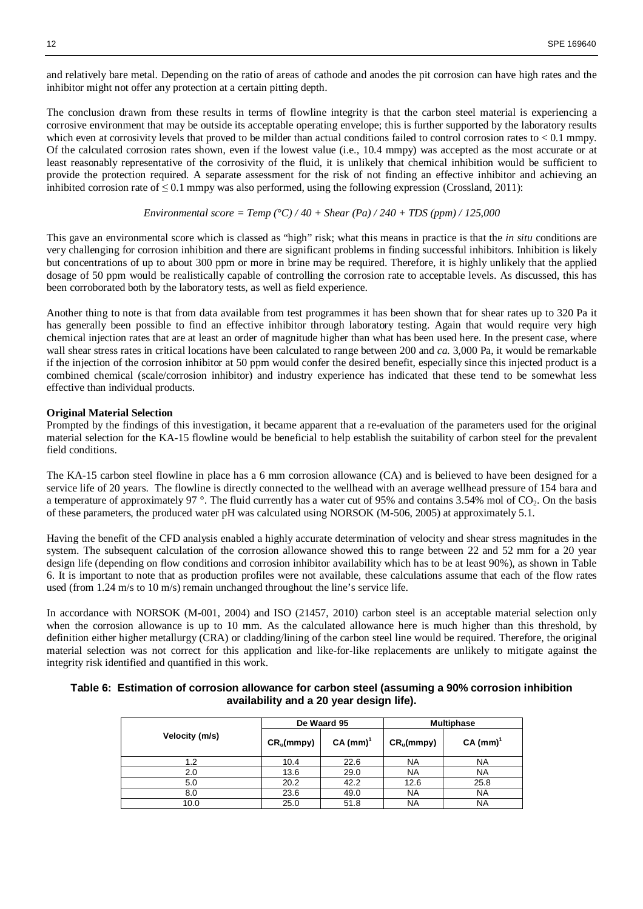and relatively bare metal. Depending on the ratio of areas of cathode and anodes the pit corrosion can have high rates and the inhibitor might not offer any protection at a certain pitting depth.

The conclusion drawn from these results in terms of flowline integrity is that the carbon steel material is experiencing a corrosive environment that may be outside its acceptable operating envelope; this is further supported by the laboratory results which even at corrosivity levels that proved to be milder than actual conditions failed to control corrosion rates to  $< 0.1$  mmpy. Of the calculated corrosion rates shown, even if the lowest value (i.e., 10.4 mmpy) was accepted as the most accurate or at least reasonably representative of the corrosivity of the fluid, it is unlikely that chemical inhibition would be sufficient to provide the protection required. A separate assessment for the risk of not finding an effective inhibitor and achieving an inhibited corrosion rate of  $\leq 0.1$  mmpy was also performed, using the following expression (Crossland, 2011):

$$
Environmental score = Temp (°C) / 40 + Shear (Pa) / 240 + TDS (ppm) / 125,000
$$

This gave an environmental score which is classed as "high" risk; what this means in practice is that the *in situ* conditions are very challenging for corrosion inhibition and there are significant problems in finding successful inhibitors. Inhibition is likely but concentrations of up to about 300 ppm or more in brine may be required. Therefore, it is highly unlikely that the applied dosage of 50 ppm would be realistically capable of controlling the corrosion rate to acceptable levels. As discussed, this has been corroborated both by the laboratory tests, as well as field experience.

Another thing to note is that from data available from test programmes it has been shown that for shear rates up to 320 Pa it has generally been possible to find an effective inhibitor through laboratory testing. Again that would require very high chemical injection rates that are at least an order of magnitude higher than what has been used here. In the present case, where wall shear stress rates in critical locations have been calculated to range between 200 and *ca.* 3,000 Pa, it would be remarkable if the injection of the corrosion inhibitor at 50 ppm would confer the desired benefit, especially since this injected product is a combined chemical (scale/corrosion inhibitor) and industry experience has indicated that these tend to be somewhat less effective than individual products.

#### **Original Material Selection**

Prompted by the findings of this investigation, it became apparent that a re-evaluation of the parameters used for the original material selection for the KA-15 flowline would be beneficial to help establish the suitability of carbon steel for the prevalent field conditions.

The KA-15 carbon steel flowline in place has a 6 mm corrosion allowance (CA) and is believed to have been designed for a service life of 20 years. The flowline is directly connected to the wellhead with an average wellhead pressure of 154 bara and a temperature of approximately 97 $\degree$ . The fluid currently has a water cut of 95% and contains 3.54% mol of CO<sub>2</sub>. On the basis of these parameters, the produced water pH was calculated using NORSOK (M-506, 2005) at approximately 5.1.

Having the benefit of the CFD analysis enabled a highly accurate determination of velocity and shear stress magnitudes in the system. The subsequent calculation of the corrosion allowance showed this to range between 22 and 52 mm for a 20 year design life (depending on flow conditions and corrosion inhibitor availability which has to be at least 90%), as shown in Table 6. It is important to note that as production profiles were not available, these calculations assume that each of the flow rates used (from 1.24 m/s to 10 m/s) remain unchanged throughout the line's service life.

In accordance with NORSOK (M-001, 2004) and ISO (21457, 2010) carbon steel is an acceptable material selection only when the corrosion allowance is up to 10 mm. As the calculated allowance here is much higher than this threshold, by definition either higher metallurgy (CRA) or cladding/lining of the carbon steel line would be required. Therefore, the original material selection was not correct for this application and like-for-like replacements are unlikely to mitigate against the integrity risk identified and quantified in this work.

|  | Table 6: Estimation of corrosion allowance for carbon steel (assuming a 90% corrosion inhibition |  |  |
|--|--------------------------------------------------------------------------------------------------|--|--|
|  | availability and a 20 year design life).                                                         |  |  |

|                |              | De Waard 95 | <b>Multiphase</b> |             |  |
|----------------|--------------|-------------|-------------------|-------------|--|
| Velocity (m/s) | $CR_u(mmpy)$ | $CA (mm)^T$ | $CR_u(mmpy)$      | $CA (mm)^T$ |  |
| 1.2            | 10.4         | 22.6        | <b>NA</b>         | NA          |  |
| 2.0            | 13.6         | 29.0        | NA                | NA          |  |
| 5.0            | 20.2         | 42.2        | 12.6              | 25.8        |  |
| 8.0            | 23.6         | 49.0        | <b>NA</b>         | <b>NA</b>   |  |
| 10.0           | 25.0         | 51.8        | NA                | NA          |  |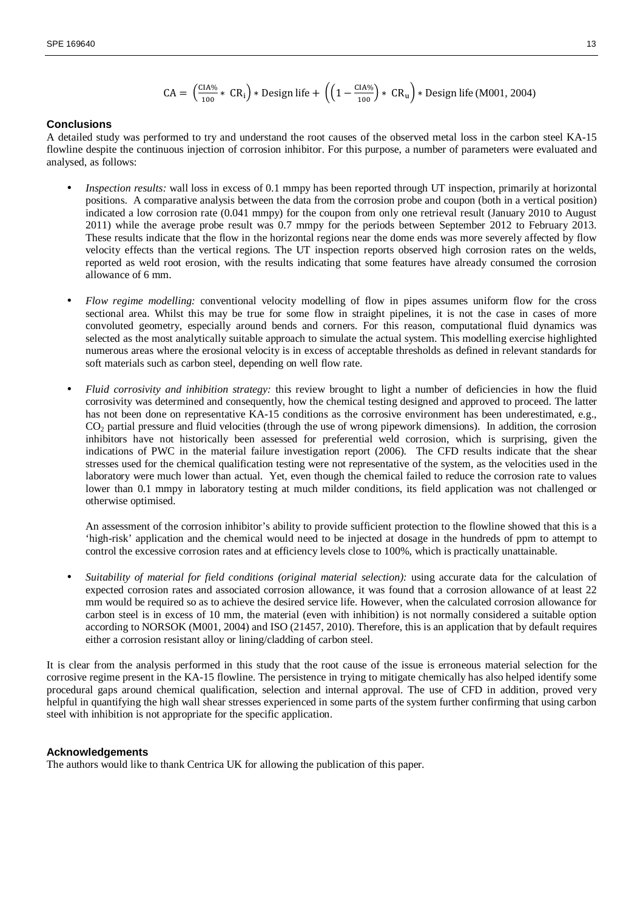$$
CA = \left(\frac{CIA\%}{100} * CR_1\right) * Design life + \left(\left(1 - \frac{CIA\%}{100}\right) * CR_u\right) * Design life (M001, 2004)
$$

#### **Conclusions**

A detailed study was performed to try and understand the root causes of the observed metal loss in the carbon steel KA-15 flowline despite the continuous injection of corrosion inhibitor. For this purpose, a number of parameters were evaluated and analysed, as follows:

- *Inspection results:* wall loss in excess of 0.1 mmpy has been reported through UT inspection, primarily at horizontal positions. A comparative analysis between the data from the corrosion probe and coupon (both in a vertical position) indicated a low corrosion rate (0.041 mmpy) for the coupon from only one retrieval result (January 2010 to August 2011) while the average probe result was 0.7 mmpy for the periods between September 2012 to February 2013. These results indicate that the flow in the horizontal regions near the dome ends was more severely affected by flow velocity effects than the vertical regions. The UT inspection reports observed high corrosion rates on the welds, reported as weld root erosion, with the results indicating that some features have already consumed the corrosion allowance of 6 mm.
- *Flow regime modelling:* conventional velocity modelling of flow in pipes assumes uniform flow for the cross sectional area. Whilst this may be true for some flow in straight pipelines, it is not the case in cases of more convoluted geometry, especially around bends and corners. For this reason, computational fluid dynamics was selected as the most analytically suitable approach to simulate the actual system. This modelling exercise highlighted numerous areas where the erosional velocity is in excess of acceptable thresholds as defined in relevant standards for soft materials such as carbon steel, depending on well flow rate.
- *Fluid corrosivity and inhibition strategy:* this review brought to light a number of deficiencies in how the fluid corrosivity was determined and consequently, how the chemical testing designed and approved to proceed. The latter has not been done on representative KA-15 conditions as the corrosive environment has been underestimated, e.g.,  $CO<sub>2</sub>$  partial pressure and fluid velocities (through the use of wrong pipework dimensions). In addition, the corrosion inhibitors have not historically been assessed for preferential weld corrosion, which is surprising, given the indications of PWC in the material failure investigation report (2006). The CFD results indicate that the shear stresses used for the chemical qualification testing were not representative of the system, as the velocities used in the laboratory were much lower than actual. Yet, even though the chemical failed to reduce the corrosion rate to values lower than 0.1 mmpy in laboratory testing at much milder conditions, its field application was not challenged or otherwise optimised.

An assessment of the corrosion inhibitor's ability to provide sufficient protection to the flowline showed that this is a 'high-risk' application and the chemical would need to be injected at dosage in the hundreds of ppm to attempt to control the excessive corrosion rates and at efficiency levels close to 100%, which is practically unattainable.

• *Suitability of material for field conditions (original material selection):* using accurate data for the calculation of expected corrosion rates and associated corrosion allowance, it was found that a corrosion allowance of at least 22 mm would be required so as to achieve the desired service life. However, when the calculated corrosion allowance for carbon steel is in excess of 10 mm, the material (even with inhibition) is not normally considered a suitable option according to NORSOK (M001, 2004) and ISO (21457, 2010). Therefore, this is an application that by default requires either a corrosion resistant alloy or lining/cladding of carbon steel.

It is clear from the analysis performed in this study that the root cause of the issue is erroneous material selection for the corrosive regime present in the KA-15 flowline. The persistence in trying to mitigate chemically has also helped identify some procedural gaps around chemical qualification, selection and internal approval. The use of CFD in addition, proved very helpful in quantifying the high wall shear stresses experienced in some parts of the system further confirming that using carbon steel with inhibition is not appropriate for the specific application.

#### **Acknowledgements**

The authors would like to thank Centrica UK for allowing the publication of this paper.